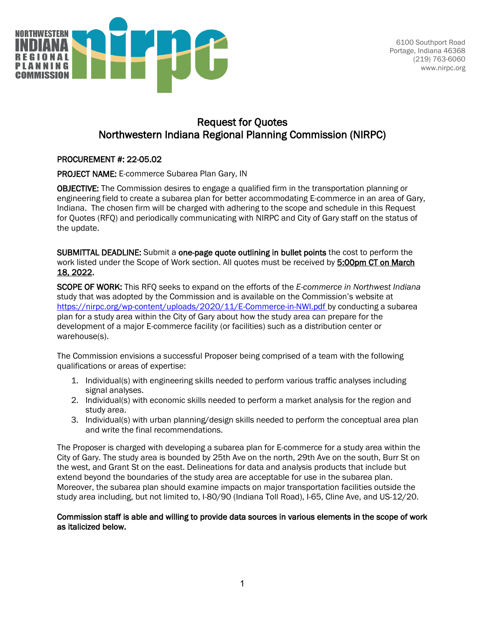

6100 Southport Road Portage, Indiana 46368 (219) 763-6060 www.nirpc.org

# Request for Quotes Northwestern Indiana Regional Planning Commission (NIRPC)

### PROCUREMENT #: 22-05.02

PROJECT NAME: E-commerce Subarea Plan Gary, IN

OBJECTIVE: The Commission desires to engage a qualified firm in the transportation planning or engineering field to create a subarea plan for better accommodating E-commerce in an area of Gary, Indiana. The chosen firm will be charged with adhering to the scope and schedule in this Request for Quotes (RFQ) and periodically communicating with NIRPC and City of Gary staff on the status of the update.

SUBMITTAL DEADLINE: Submit a one-page quote outlining in bullet points the cost to perform the work listed under the Scope of Work section. All quotes must be received by 5:00pm CT on March 18, 2022.

SCOPE OF WORK: This RFQ seeks to expand on the efforts of the *E-commerce in Northwest Indiana*  study that was adopted by the Commission and is available on the Commission's website at <https://nirpc.org/wp-content/uploads/2020/11/E-Commerce-in-NWI.pdf> by conducting a subarea plan for a study area within the City of Gary about how the study area can prepare for the development of a major E-commerce facility (or facilities) such as a distribution center or warehouse(s).

The Commission envisions a successful Proposer being comprised of a team with the following qualifications or areas of expertise:

- 1. Individual(s) with engineering skills needed to perform various traffic analyses including signal analyses.
- 2. Individual(s) with economic skills needed to perform a market analysis for the region and study area.
- 3. Individual(s) with urban planning/design skills needed to perform the conceptual area plan and write the final recommendations.

The Proposer is charged with developing a subarea plan for E-commerce for a study area within the City of Gary. The study area is bounded by 25th Ave on the north, 29th Ave on the south, Burr St on the west, and Grant St on the east. Delineations for data and analysis products that include but extend beyond the boundaries of the study area are acceptable for use in the subarea plan. Moreover, the subarea plan should examine impacts on major transportation facilities outside the study area including, but not limited to, I-80/90 (Indiana Toll Road), I-65, Cline Ave, and US-12/20.

### Commission staff is able and willing to provide data sources in various elements in the scope of work as italicized below.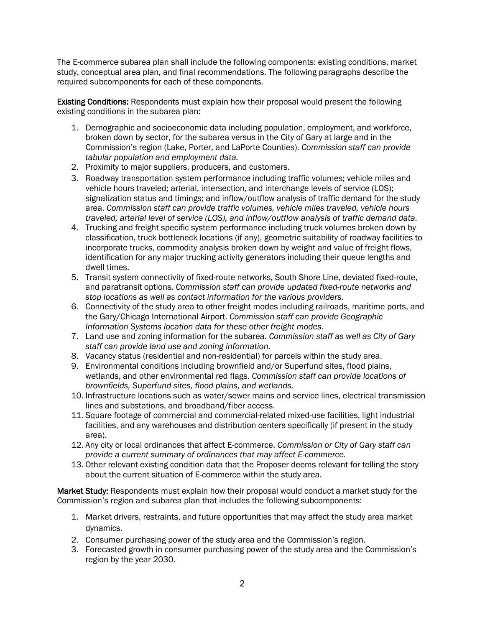The E-commerce subarea plan shall include the following components: existing conditions, market study, conceptual area plan, and final recommendations. The following paragraphs describe the required subcomponents for each of these components.

Existing Conditions: Respondents must explain how their proposal would present the following existing conditions in the subarea plan:

- 1. Demographic and socioeconomic data including population, employment, and workforce, broken down by sector, for the subarea versus in the City of Gary at large and in the Commission's region (Lake, Porter, and LaPorte Counties). *Commission staff can provide tabular population and employment data.*
- 2. Proximity to major suppliers, producers, and customers.
- 3. Roadway transportation system performance including traffic volumes; vehicle miles and vehicle hours traveled; arterial, intersection, and interchange levels of service (LOS); signalization status and timings; and inflow/outflow analysis of traffic demand for the study area. *Commission staff can provide traffic volumes, vehicle miles traveled, vehicle hours traveled, arterial level of service (LOS), and inflow/outflow analysis of traffic demand data.*
- 4. Trucking and freight specific system performance including truck volumes broken down by classification, truck bottleneck locations (if any), geometric suitability of roadway facilities to incorporate trucks, commodity analysis broken down by weight and value of freight flows, identification for any major trucking activity generators including their queue lengths and dwell times.
- 5. Transit system connectivity of fixed-route networks, South Shore Line, deviated fixed-route, and paratransit options. *Commission staff can provide updated fixed-route networks and stop locations as well as contact information for the various providers.*
- 6. Connectivity of the study area to other freight modes including railroads, maritime ports, and the Gary/Chicago International Airport. *Commission staff can provide Geographic Information Systems location data for these other freight modes.*
- 7. Land use and zoning information for the subarea. *Commission staff as well as City of Gary staff can provide land use and zoning information.*
- 8. Vacancy status (residential and non-residential) for parcels within the study area.
- 9. Environmental conditions including brownfield and/or Superfund sites, flood plains, wetlands, and other environmental red flags. *Commission staff can provide locations of brownfields, Superfund sites, flood plains, and wetlands.*
- 10. Infrastructure locations such as water/sewer mains and service lines, electrical transmission lines and substations, and broadband/fiber access.
- 11. Square footage of commercial and commercial-related mixed-use facilities, light industrial facilities, and any warehouses and distribution centers specifically (if present in the study area).
- 12. Any city or local ordinances that affect E-commerce. *Commission or City of Gary staff can provide a current summary of ordinances that may affect E-commerce.*
- 13. Other relevant existing condition data that the Proposer deems relevant for telling the story about the current situation of E-commerce within the study area.

Market Study: Respondents must explain how their proposal would conduct a market study for the Commission's region and subarea plan that includes the following subcomponents:

- 1. Market drivers, restraints, and future opportunities that may affect the study area market dynamics.
- 2. Consumer purchasing power of the study area and the Commission's region.
- 3. Forecasted growth in consumer purchasing power of the study area and the Commission's region by the year 2030.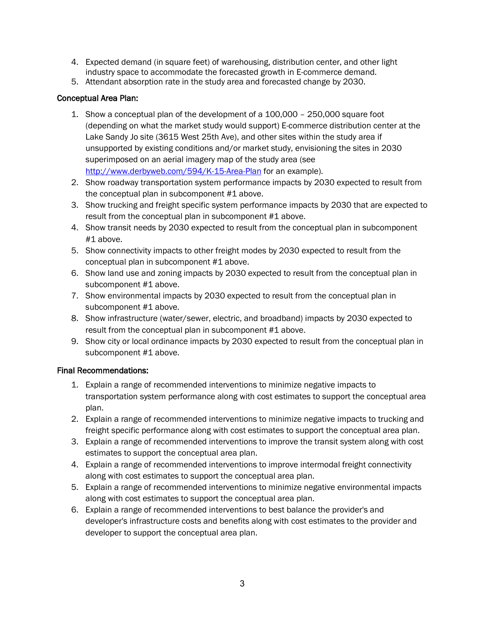- 4. Expected demand (in square feet) of warehousing, distribution center, and other light industry space to accommodate the forecasted growth in E-commerce demand.
- 5. Attendant absorption rate in the study area and forecasted change by 2030.

### Conceptual Area Plan:

- 1. Show a conceptual plan of the development of a 100,000 250,000 square foot (depending on what the market study would support) E-commerce distribution center at the Lake Sandy Jo site (3615 West 25th Ave), and other sites within the study area if unsupported by existing conditions and/or market study, envisioning the sites in 2030 superimposed on an aerial imagery map of the study area (see <http://www.derbyweb.com/594/K-15-Area-Plan> for an example).
- 2. Show roadway transportation system performance impacts by 2030 expected to result from the conceptual plan in subcomponent #1 above.
- 3. Show trucking and freight specific system performance impacts by 2030 that are expected to result from the conceptual plan in subcomponent #1 above.
- 4. Show transit needs by 2030 expected to result from the conceptual plan in subcomponent #1 above.
- 5. Show connectivity impacts to other freight modes by 2030 expected to result from the conceptual plan in subcomponent #1 above.
- 6. Show land use and zoning impacts by 2030 expected to result from the conceptual plan in subcomponent #1 above.
- 7. Show environmental impacts by 2030 expected to result from the conceptual plan in subcomponent #1 above.
- 8. Show infrastructure (water/sewer, electric, and broadband) impacts by 2030 expected to result from the conceptual plan in subcomponent #1 above.
- 9. Show city or local ordinance impacts by 2030 expected to result from the conceptual plan in subcomponent #1 above.

## Final Recommendations:

- 1. Explain a range of recommended interventions to minimize negative impacts to transportation system performance along with cost estimates to support the conceptual area plan.
- 2. Explain a range of recommended interventions to minimize negative impacts to trucking and freight specific performance along with cost estimates to support the conceptual area plan.
- 3. Explain a range of recommended interventions to improve the transit system along with cost estimates to support the conceptual area plan.
- 4. Explain a range of recommended interventions to improve intermodal freight connectivity along with cost estimates to support the conceptual area plan.
- 5. Explain a range of recommended interventions to minimize negative environmental impacts along with cost estimates to support the conceptual area plan.
- 6. Explain a range of recommended interventions to best balance the provider's and developer's infrastructure costs and benefits along with cost estimates to the provider and developer to support the conceptual area plan.